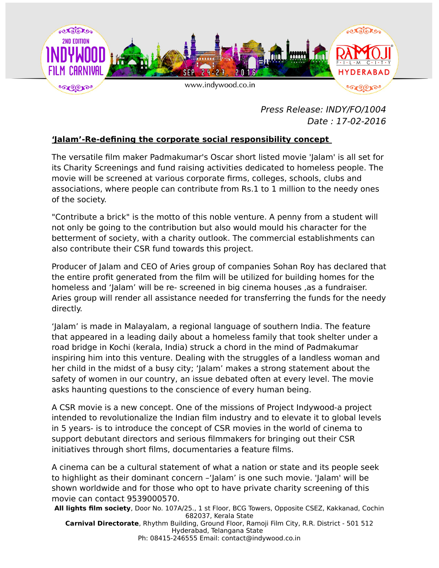

Press Release: INDY/FO/1004 Date : 17-02-2016

## **'Jalam'-Re-defining the corporate social responsibility concept**

The versatile film maker Padmakumar's Oscar short listed movie 'Jalam' is all set for its Charity Screenings and fund raising activities dedicated to homeless people. The movie will be screened at various corporate firms, colleges, schools, clubs and associations, where people can contribute from Rs.1 to 1 million to the needy ones of the society.

"Contribute a brick" is the motto of this noble venture. A penny from a student will not only be going to the contribution but also would mould his character for the betterment of society, with a charity outlook. The commercial establishments can also contribute their CSR fund towards this project.

Producer of Jalam and CEO of Aries group of companies Sohan Roy has declared that the entire profit generated from the film will be utilized for building homes for the homeless and 'Jalam' will be re- screened in big cinema houses ,as a fundraiser. Aries group will render all assistance needed for transferring the funds for the needy directly.

'Jalam' is made in Malayalam, a regional language of southern India. The feature that appeared in a leading daily about a homeless family that took shelter under a road bridge in Kochi (kerala, India) struck a chord in the mind of Padmakumar inspiring him into this venture. Dealing with the struggles of a landless woman and her child in the midst of a busy city; 'Jalam' makes a strong statement about the safety of women in our country, an issue debated often at every level. The movie asks haunting questions to the conscience of every human being.

A CSR movie is a new concept. One of the missions of Project Indywood-a project intended to revolutionalize the Indian film industry and to elevate it to global levels in 5 years- is to introduce the concept of CSR movies in the world of cinema to support debutant directors and serious filmmakers for bringing out their CSR initiatives through short films, documentaries a feature films.

A cinema can be a cultural statement of what a nation or state and its people seek to highlight as their dominant concern –'Jalam' is one such movie. 'Jalam' will be shown worldwide and for those who opt to have private charity screening of this movie can contact 9539000570.

**All lights film society**, Door No. 107A/25., 1 st Floor, BCG Towers, Opposite CSEZ, Kakkanad, Cochin 682037, Kerala State **Carnival Directorate**, Rhythm Building, Ground Floor, Ramoji Film City, R.R. District - 501 512 Hyderabad, Telangana State Ph: 08415-246555 Email: contact@indywood.co.in